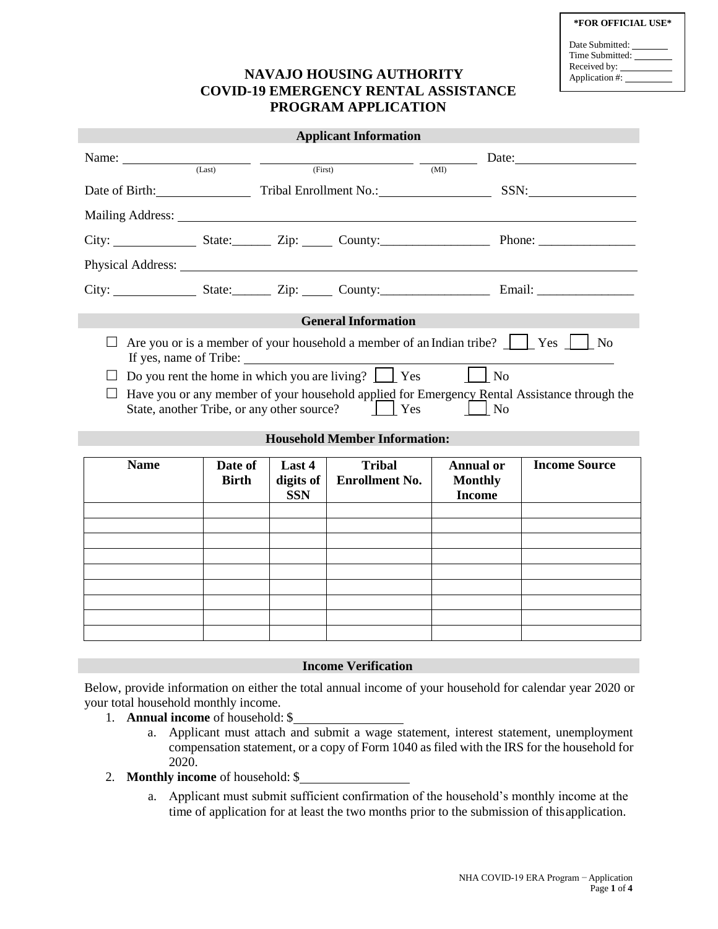|  | *FOR OFFICIAL USE* |  |
|--|--------------------|--|
|--|--------------------|--|

| Date Submitted: |  |
|-----------------|--|
| Time Submitted: |  |
| Received by:    |  |
| Application #:  |  |
|                 |  |

## **NAVAJO HOUSING AUTHORITY COVID-19 EMERGENCY RENTAL ASSISTANCE PROGRAM APPLICATION**

| <b>Applicant Information</b>                                                                                                                                                                                                                                                                                                                                                                                                      |                         |                                   |                                        |                                                                                         |                      |  |
|-----------------------------------------------------------------------------------------------------------------------------------------------------------------------------------------------------------------------------------------------------------------------------------------------------------------------------------------------------------------------------------------------------------------------------------|-------------------------|-----------------------------------|----------------------------------------|-----------------------------------------------------------------------------------------|----------------------|--|
|                                                                                                                                                                                                                                                                                                                                                                                                                                   |                         |                                   |                                        | Name: $\frac{1}{(Last)}$ $\frac{1}{(First)}$ $\frac{1}{(First)}$ $\frac{1}{(MH)}$ Date: |                      |  |
|                                                                                                                                                                                                                                                                                                                                                                                                                                   |                         |                                   |                                        | Date of Birth: Tribal Enrollment No.: SSN: SSN:                                         |                      |  |
| Mailing Address: National Address:                                                                                                                                                                                                                                                                                                                                                                                                |                         |                                   |                                        |                                                                                         |                      |  |
| City: State: Zip: County: Phone: Phone:                                                                                                                                                                                                                                                                                                                                                                                           |                         |                                   |                                        |                                                                                         |                      |  |
|                                                                                                                                                                                                                                                                                                                                                                                                                                   |                         |                                   |                                        |                                                                                         |                      |  |
|                                                                                                                                                                                                                                                                                                                                                                                                                                   |                         |                                   |                                        |                                                                                         |                      |  |
|                                                                                                                                                                                                                                                                                                                                                                                                                                   |                         |                                   | <b>General Information</b>             |                                                                                         |                      |  |
| Are you or is a member of your household a member of an Indian tribe? $\Box$ Yes $\Box$ No<br>$\perp$<br>Do you rent the home in which you are living? $\boxed{\phantom{1}}$ Yes<br><b>No</b><br>Have you or any member of your household applied for Emergency Rental Assistance through the<br>State, another Tribe, or any other source?<br>$\vert$ Yes<br>$\overline{\phantom{a}}$ No<br><b>Household Member Information:</b> |                         |                                   |                                        |                                                                                         |                      |  |
|                                                                                                                                                                                                                                                                                                                                                                                                                                   |                         |                                   |                                        |                                                                                         |                      |  |
| <b>Name</b>                                                                                                                                                                                                                                                                                                                                                                                                                       | Date of<br><b>Birth</b> | Last 4<br>digits of<br><b>SSN</b> | <b>Tribal</b><br><b>Enrollment No.</b> | <b>Annual or</b><br><b>Monthly</b><br><b>Income</b>                                     | <b>Income Source</b> |  |
|                                                                                                                                                                                                                                                                                                                                                                                                                                   |                         |                                   |                                        |                                                                                         |                      |  |
|                                                                                                                                                                                                                                                                                                                                                                                                                                   |                         |                                   |                                        |                                                                                         |                      |  |
|                                                                                                                                                                                                                                                                                                                                                                                                                                   |                         |                                   |                                        |                                                                                         |                      |  |
|                                                                                                                                                                                                                                                                                                                                                                                                                                   |                         |                                   |                                        |                                                                                         |                      |  |
|                                                                                                                                                                                                                                                                                                                                                                                                                                   |                         |                                   |                                        |                                                                                         |                      |  |
|                                                                                                                                                                                                                                                                                                                                                                                                                                   |                         |                                   |                                        |                                                                                         |                      |  |

### **Income Verification**

Below, provide information on either the total annual income of your household for calendar year 2020 or your total household monthly income.

- 1. **Annual income** of household: \$
	- a. Applicant must attach and submit a wage statement, interest statement, unemployment compensation statement, or a copy of Form 1040 as filed with the IRS for the household for 2020.
- 2. **Monthly income** of household: \$
	- a. Applicant must submit sufficient confirmation of the household's monthly income at the time of application for at least the two months prior to the submission of thisapplication.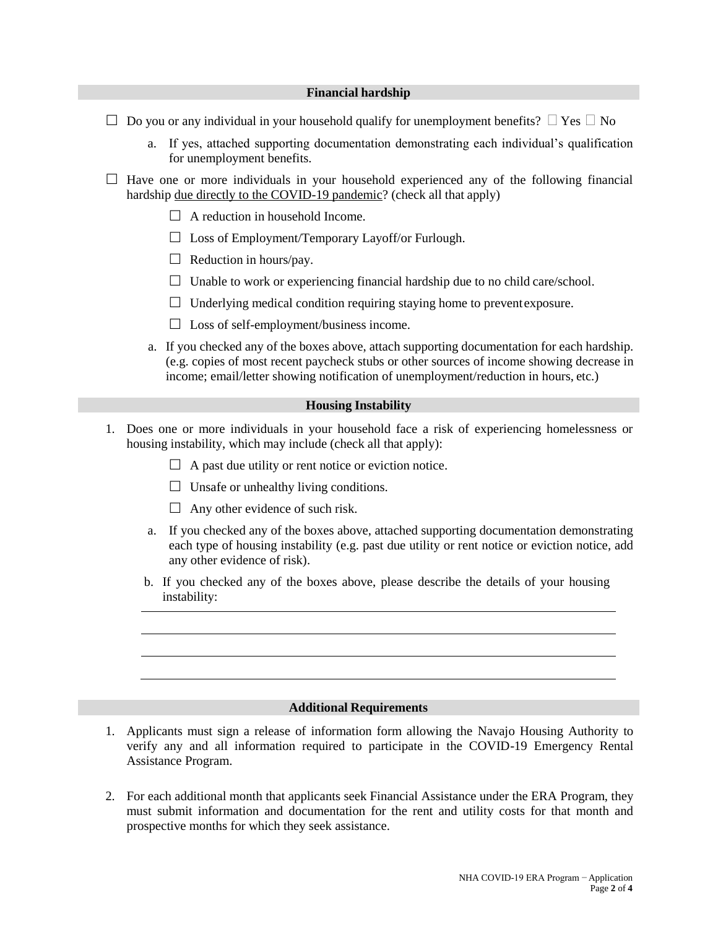### **Financial hardship**

- $\Box$  Do you or any individual in your household qualify for unemployment benefits?  $\Box$  Yes  $\Box$  No
	- a. If yes, attached supporting documentation demonstrating each individual's qualification for unemployment benefits.
- $\Box$  Have one or more individuals in your household experienced any of the following financial hardship due directly to the COVID-19 pandemic? (check all that apply)
	- $\Box$  A reduction in household Income.
	- $\Box$  Loss of Employment/Temporary Layoff/or Furlough.
	- $\Box$  Reduction in hours/pay.
	- $\Box$  Unable to work or experiencing financial hardship due to no child care/school.
	- $\Box$  Underlying medical condition requiring staying home to prevent exposure.
	- $\Box$  Loss of self-employment/business income.
	- a. If you checked any of the boxes above, attach supporting documentation for each hardship. (e.g. copies of most recent paycheck stubs or other sources of income showing decrease in income; email/letter showing notification of unemployment/reduction in hours, etc.)

### **Housing Instability**

- 1. Does one or more individuals in your household face a risk of experiencing homelessness or housing instability, which may include (check all that apply):
	- $\Box$  A past due utility or rent notice or eviction notice.
	- $\Box$  Unsafe or unhealthy living conditions.
	- $\Box$  Any other evidence of such risk.
	- a. If you checked any of the boxes above, attached supporting documentation demonstrating each type of housing instability (e.g. past due utility or rent notice or eviction notice, add any other evidence of risk).
	- b. If you checked any of the boxes above, please describe the details of your housing instability:

### **Additional Requirements**

- 1. Applicants must sign a release of information form allowing the Navajo Housing Authority to verify any and all information required to participate in the COVID-19 Emergency Rental Assistance Program.
- 2. For each additional month that applicants seek Financial Assistance under the ERA Program, they must submit information and documentation for the rent and utility costs for that month and prospective months for which they seek assistance.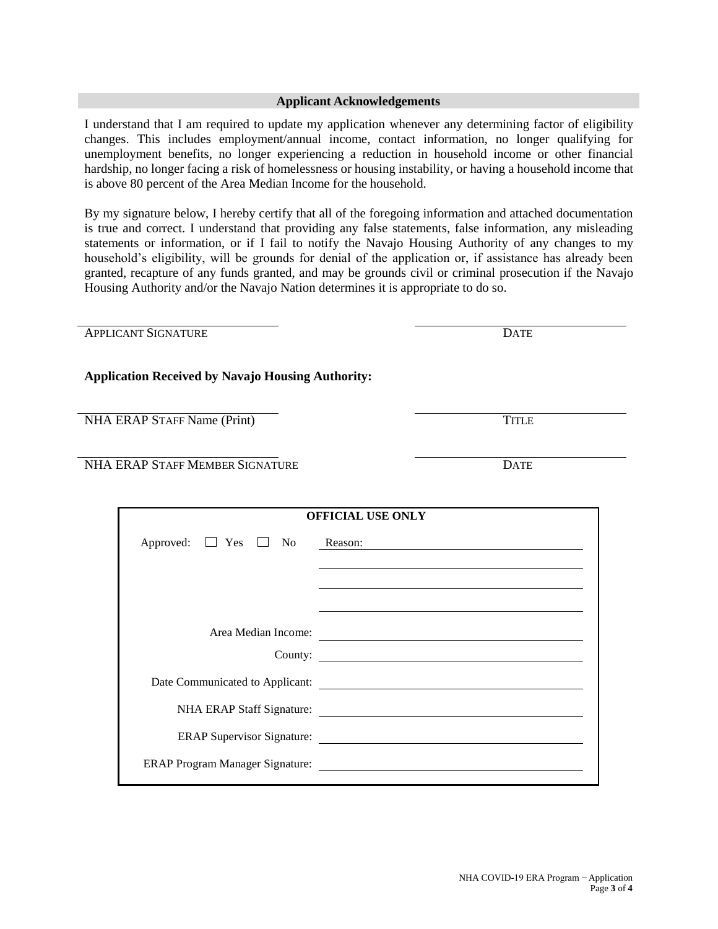### **Applicant Acknowledgements**

I understand that I am required to update my application whenever any determining factor of eligibility changes. This includes employment/annual income, contact information, no longer qualifying for unemployment benefits, no longer experiencing a reduction in household income or other financial hardship, no longer facing a risk of homelessness or housing instability, or having a household income that is above 80 percent of the Area Median Income for the household.

By my signature below, I hereby certify that all of the foregoing information and attached documentation is true and correct. I understand that providing any false statements, false information, any misleading statements or information, or if I fail to notify the Navajo Housing Authority of any changes to my household's eligibility, will be grounds for denial of the application or, if assistance has already been granted, recapture of any funds granted, and may be grounds civil or criminal prosecution if the Navajo Housing Authority and/or the Navajo Nation determines it is appropriate to do so.

| <b>APPLICANT SIGNATURE</b>                               | <b>DATE</b>                                                                                                                |
|----------------------------------------------------------|----------------------------------------------------------------------------------------------------------------------------|
| <b>Application Received by Navajo Housing Authority:</b> |                                                                                                                            |
| NHA ERAP STAFF Name (Print)                              | <b>TITLE</b>                                                                                                               |
| NHA ERAP STAFF MEMBER SIGNATURE                          | <b>DATE</b>                                                                                                                |
|                                                          | <b>OFFICIAL USE ONLY</b>                                                                                                   |
| Approved: $\Box$ Yes $\Box$ No                           | Reason:<br>the contract of the contract of the contract of the contract of the contract of the contract of the contract of |
|                                                          | Area Median Income:<br>County:                                                                                             |
|                                                          |                                                                                                                            |
|                                                          | NHA ERAP Staff Signature:                                                                                                  |
|                                                          | ERAP Supervisor Signature:                                                                                                 |
|                                                          |                                                                                                                            |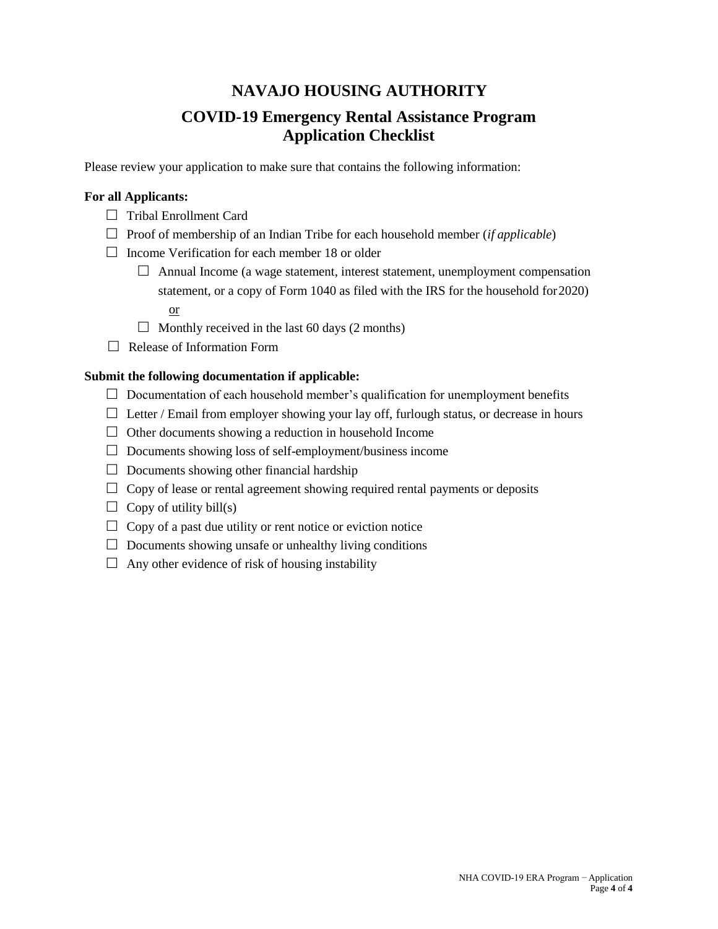# **NAVAJO HOUSING AUTHORITY**

## **COVID-19 Emergency Rental Assistance Program Application Checklist**

Please review your application to make sure that contains the following information:

## **For all Applicants:**

- Tribal Enrollment Card
- $\Box$  Proof of membership of an Indian Tribe for each household member (*if applicable*)
- $\Box$  Income Verification for each member 18 or older
	- $\Box$  Annual Income (a wage statement, interest statement, unemployment compensation statement, or a copy of Form 1040 as filed with the IRS for the household for2020)
		- or
	- $\Box$  Monthly received in the last 60 days (2 months)
- Release of Information Form

## **Submit the following documentation if applicable:**

- $\Box$  Documentation of each household member's qualification for unemployment benefits
- $\Box$  Letter / Email from employer showing your lay off, furlough status, or decrease in hours
- $\Box$  Other documents showing a reduction in household Income
- $\Box$  Documents showing loss of self-employment/business income
- $\Box$  Documents showing other financial hardship
- $\Box$  Copy of lease or rental agreement showing required rental payments or deposits
- $\Box$  Copy of utility bill(s)
- $\Box$  Copy of a past due utility or rent notice or eviction notice
- $\Box$  Documents showing unsafe or unhealthy living conditions
- $\Box$  Any other evidence of risk of housing instability